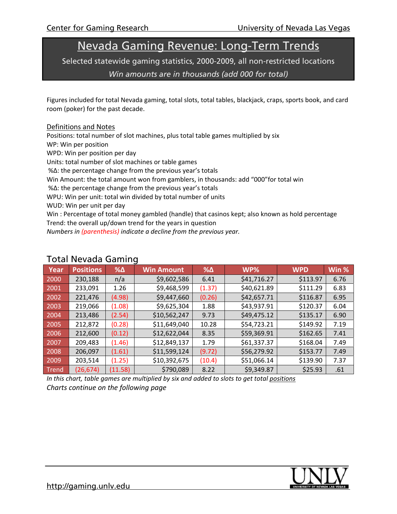# Nevada Gaming Revenue: Long-Term Trends

Selected statewide gaming statistics, 2000-2009, all non-restricted locations

*Win amounts are in thousands (add 000 for total)* 

Figures included for total Nevada gaming, total slots, total tables, blackjack, craps, sports book, and card room (poker) for the past decade.

#### Definitions and Notes

Positions: total number of slot machines, plus total table games multiplied by six

WP: Win per position

WPD: Win per position per day

Units: total number of slot machines or table games

%Δ: the percentage change from the previous year's totals

Win Amount: the total amount won from gamblers, in thousands: add "000"for total win

%Δ: the percentage change from the previous year's totals

WPU: Win per unit: total win divided by total number of units

WUD: Win per unit per day

Win : Percentage of total money gambled (handle) that casinos kept; also known as hold percentage Trend: the overall up/down trend for the years in question

*Numbers in (parenthesis) indicate a decline from the previous year.*

| Year  | <b>Positions</b> | $% \triangle$ | <b>Win Amount</b> | $% \triangle$ | WP%         | <b>WPD</b> | Win % |  |
|-------|------------------|---------------|-------------------|---------------|-------------|------------|-------|--|
| 2000  | 230,188          | n/a           | \$9,602,586       | 6.41          | \$41,716.27 | \$113.97   | 6.76  |  |
| 2001  | 233,091          | 1.26          | \$9,468,599       | (1.37)        | \$40,621.89 | \$111.29   | 6.83  |  |
| 2002  | 221,476          | (4.98)        | \$9,447,660       | (0.26)        | \$42,657.71 | \$116.87   | 6.95  |  |
| 2003  | 219,066          | (1.08)        | \$9,625,304       | 1.88          | \$43,937.91 | \$120.37   | 6.04  |  |
| 2004  | 213,486          | (2.54)        | \$10,562,247      | 9.73          | \$49,475.12 | \$135.17   | 6.90  |  |
| 2005  | 212,872          | (0.28)        | \$11,649,040      | 10.28         | \$54,723.21 | \$149.92   | 7.19  |  |
| 2006  | 212,600          | (0.12)        | \$12,622,044      | 8.35          | \$59,369.91 | \$162.65   | 7.41  |  |
| 2007  | 209,483          | (1.46)        | \$12,849,137      | 1.79          | \$61,337.37 | \$168.04   | 7.49  |  |
| 2008  | 206,097          | (1.61)        | \$11,599,124      | (9.72)        | \$56,279.92 | \$153.77   | 7.49  |  |
| 2009  | 203,514          | (1.25)        | \$10,392,675      | (10.4)        | \$51,066.14 | \$139.90   | 7.37  |  |
| Trend | (26, 674)        | (11.58)       | \$790,089         | 8.22          | \$9,349.87  | \$25.93    | .61   |  |

#### Total Nevada Gaming

*In this chart, table games are multiplied by six and added to slots to get total positions Charts continue on the following page*

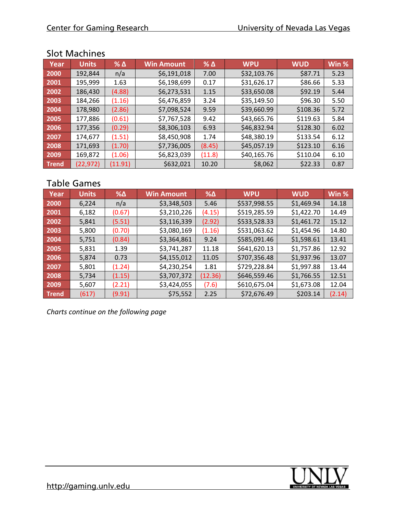### Slot Machines

| Year         | <b>Units</b> | $%$ $\Delta$ | <b>Win Amount</b> | $%$ $\Delta$ | <b>WPU</b>  | <b>WUD</b> | Win % |
|--------------|--------------|--------------|-------------------|--------------|-------------|------------|-------|
| 2000         | 192,844      | n/a          | \$6,191,018       | 7.00         | \$32,103.76 | \$87.71    | 5.23  |
| 2001         | 195,999      | 1.63         | \$6,198,699       | 0.17         | \$31,626.17 | \$86.66    | 5.33  |
| 2002         | 186,430      | (4.88)       | \$6,273,531       | 1.15         | \$33,650.08 | \$92.19    | 5.44  |
| 2003         | 184,266      | (1.16)       | \$6,476,859       | 3.24         | \$35,149.50 | \$96.30    | 5.50  |
| 2004         | 178,980      | (2.86)       | \$7,098,524       | 9.59         | \$39,660.99 | \$108.36   | 5.72  |
| 2005         | 177,886      | (0.61)       | \$7,767,528       | 9.42         | \$43,665.76 | \$119.63   | 5.84  |
| 2006         | 177,356      | (0.29)       | \$8,306,103       | 6.93         | \$46,832.94 | \$128.30   | 6.02  |
| 2007         | 174,677      | (1.51)       | \$8,450,908       | 1.74         | \$48,380.19 | \$133.54   | 6.12  |
| 2008         | 171,693      | (1.70)       | \$7,736,005       | (8.45)       | \$45,057.19 | \$123.10   | 6.16  |
| 2009         | 169,872      | (1.06)       | \$6,823,039       | (11.8)       | \$40,165.76 | \$110.04   | 6.10  |
| <b>Trend</b> | (22, 972)    | (11.91)      | \$632,021         | 10.20        | \$8,062     | \$22.33    | 0.87  |

# Table Games

| Year         | <b>Units</b> | $% \triangle$ | <b>Win Amount</b> | $% \Delta$ | <b>WPU</b>   | <b>WUD</b> | Win %  |
|--------------|--------------|---------------|-------------------|------------|--------------|------------|--------|
| 2000         | 6,224        | n/a           | \$3,348,503       | 5.46       | \$537,998.55 | \$1,469.94 | 14.18  |
| 2001         | 6,182        | (0.67)        | \$3,210,226       | (4.15)     | \$519,285.59 | \$1,422.70 | 14.49  |
| 2002         | 5,841        | (5.51)        | \$3,116,339       | (2.92)     | \$533,528.33 | \$1,461.72 | 15.12  |
| 2003         | 5,800        | (0.70)        | \$3,080,169       | (1.16)     | \$531,063.62 | \$1,454.96 | 14.80  |
| 2004         | 5,751        | (0.84)        | \$3,364,861       | 9.24       | \$585,091.46 | \$1,598.61 | 13.41  |
| 2005         | 5,831        | 1.39          | \$3,741,287       | 11.18      | \$641,620.13 | \$1,757.86 | 12.92  |
| 2006         | 5,874        | 0.73          | \$4,155,012       | 11.05      | \$707,356.48 | \$1,937.96 | 13.07  |
| 2007         | 5,801        | (1.24)        | \$4,230,254       | 1.81       | \$729,228.84 | \$1,997.88 | 13.44  |
| 2008         | 5,734        | (1.15)        | \$3,707,372       | (12.36)    | \$646,559.46 | \$1,766.55 | 12.51  |
| 2009         | 5,607        | (2.21)        | \$3,424,055       | (7.6)      | \$610,675.04 | \$1,673.08 | 12.04  |
| <b>Trend</b> | (617)        | (9.91)        | \$75,552          | 2.25       | \$72,676.49  | \$203.14   | (2.14) |

*Charts continue on the following page*

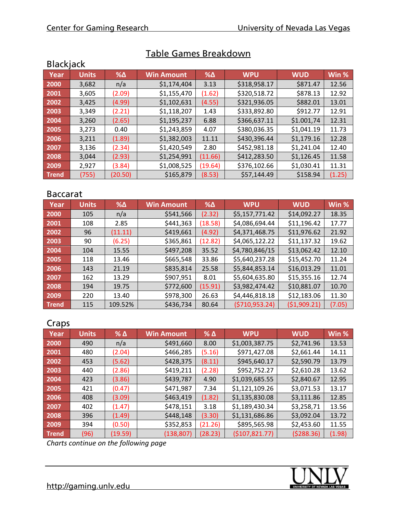| <b>Blackjack</b> |              |            |                   |               |              |            |        |  |
|------------------|--------------|------------|-------------------|---------------|--------------|------------|--------|--|
| Year             | <b>Units</b> | $% \Delta$ | <b>Win Amount</b> | $% \triangle$ | <b>WPU</b>   | <b>WUD</b> | Win %  |  |
| 2000             | 3,682        | n/a        | \$1,174,404       | 3.13          | \$318,958.17 | \$871.47   | 12.56  |  |
| 2001             | 3,605        | (2.09)     | \$1,155,470       | (1.62)        | \$320,518.72 | \$878.13   | 12.92  |  |
| 2002             | 3,425        | (4.99)     | \$1,102,631       | (4.55)        | \$321,936.05 | \$882.01   | 13.01  |  |
| 2003             | 3,349        | (2.21)     | \$1,118,207       | 1.43          | \$333,892.80 | \$912.77   | 12.91  |  |
| 2004             | 3,260        | (2.65)     | \$1,195,237       | 6.88          | \$366,637.11 | \$1.001,74 | 12.31  |  |
| 2005             | 3,273        | 0.40       | \$1,243,859       | 4.07          | \$380,036.35 | \$1,041.19 | 11.73  |  |
| 2006             | 3,211        | (1.89)     | \$1,382,003       | 11.11         | \$430,396.44 | \$1,179.16 | 12.28  |  |
| 2007             | 3,136        | (2.34)     | \$1,420,549       | 2.80          | \$452,981.18 | \$1,241.04 | 12.40  |  |
| 2008             | 3,044        | (2.93)     | \$1,254,991       | (11.66)       | \$412,283.50 | \$1,126.45 | 11.58  |  |
| 2009             | 2,927        | (3.84)     | \$1,008,525       | (19.64)       | \$376,102.66 | \$1,030.41 | 11.31  |  |
| <b>Trend</b>     | (755)        | (20.50)    | \$165,879         | (8.53)        | \$57,144.49  | \$158.94   | (1.25) |  |

# Table Games Breakdown

# Baccarat

| Year         | <b>Units</b> | $% \Delta$ | <b>Win Amount</b> | $% \triangle$ | <b>WPU</b>       | <b>WUD</b>  | Win %  |
|--------------|--------------|------------|-------------------|---------------|------------------|-------------|--------|
| 2000         | 105          | n/a        | \$541,566         | (2.32)        | \$5,157,771.42   | \$14,092.27 | 18.35  |
| 2001         | 108          | 2.85       | \$441,363         | (18.58)       | \$4,086,694.44   | \$11,196.42 | 17.77  |
| 2002         | 96           | (11.11)    | \$419,661         | (4.92)        | \$4,371,468.75   | \$11,976.62 | 21.92  |
| 2003         | 90           | (6.25)     | \$365,861         | (12.82)       | \$4,065,122.22   | \$11,137.32 | 19.62  |
| 2004         | 104          | 15.55      | \$497,208         | 35.52         | \$4,780,846/15   | \$13,062.42 | 12.10  |
| 2005         | 118          | 13.46      | \$665,548         | 33.86         | \$5,640,237.28   | \$15,452.70 | 11.24  |
| 2006         | 143          | 21.19      | \$835,814         | 25.58         | \$5,844,853.14   | \$16,013.29 | 11.01  |
| 2007         | 162          | 13.29      | \$907,951         | 8.01          | \$5,604,635.80   | \$15,355.16 | 12.74  |
| 2008         | 194          | 19.75      | \$772,600         | (15.91)       | \$3,982,474.42   | \$10,881.07 | 10.70  |
| 2009         | 220          | 13.40      | \$978,300         | 26.63         | \$4,446,818.18   | \$12,183.06 | 11.30  |
| <b>Trend</b> | 115          | 109.52%    | \$436,734         | 80.64         | ( \$710, 953.24) | (51,909.21) | (7.05) |

#### Craps

| ----         |              |              |                   |              |                |            |        |
|--------------|--------------|--------------|-------------------|--------------|----------------|------------|--------|
| Year         | <b>Units</b> | $%$ $\Delta$ | <b>Win Amount</b> | $%$ $\Delta$ | <b>WPU</b>     | <b>WUD</b> | Win %  |
| 2000         | 490          | n/a          | \$491,660         | 8.00         | \$1,003,387.75 | \$2,741.96 | 13.53  |
| 2001         | 480          | (2.04)       | \$466,285         | (5.16)       | \$971,427.08   | \$2,661.44 | 14.11  |
| 2002         | 453          | (5.62)       | \$428,375         | (8.11)       | \$945,640.17   | \$2,590.79 | 13.79  |
| 2003         | 440          | (2.86)       | \$419,211         | (2.28)       | \$952,752.27   | \$2,610.28 | 13.62  |
| 2004         | 423          | (3.86)       | \$439,787         | 4.90         | \$1,039,685.55 | \$2,840.67 | 12.95  |
| 2005         | 421          | (0.47)       | \$471,987         | 7.34         | \$1,121,109.26 | \$3,071.53 | 13.17  |
| 2006         | 408          | (3.09)       | \$463,419         | (1.82)       | \$1,135,830.08 | \$3,111.86 | 12.85  |
| 2007         | 402          | (1.47)       | \$478,151         | 3.18         | \$1,189,430.34 | \$3,258,71 | 13.56  |
| 2008         | 396          | (1.49)       | \$448,148         | (3.30)       | \$1,131,686.86 | \$3,092.04 | 13.72  |
| 2009         | 394          | (0.50)       | \$352,853         | (21.26)      | \$895,565.98   | \$2,453.60 | 11.55  |
| <b>Trend</b> | (96)         | (19.59)      | (138, 807)        | (28.23)      | (\$107,821.77) | (5288.36)  | (1.98) |

*Charts continue on the following page*